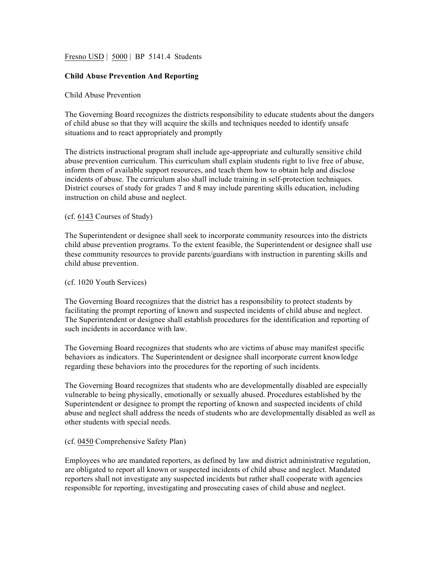Fresno USD | 5000 | BP 5141.4 Students

# **Child Abuse Prevention And Reporting**

# Child Abuse Prevention

The Governing Board recognizes the districts responsibility to educate students about the dangers of child abuse so that they will acquire the skills and techniques needed to identify unsafe situations and to react appropriately and promptly

The districts instructional program shall include age-appropriate and culturally sensitive child abuse prevention curriculum. This curriculum shall explain students right to live free of abuse, inform them of available support resources, and teach them how to obtain help and disclose incidents of abuse. The curriculum also shall include training in self-protection techniques. District courses of study for grades 7 and 8 may include parenting skills education, including instruction on child abuse and neglect.

### (cf. 6143 Courses of Study)

The Superintendent or designee shall seek to incorporate community resources into the districts child abuse prevention programs. To the extent feasible, the Superintendent or designee shall use these community resources to provide parents/guardians with instruction in parenting skills and child abuse prevention.

### (cf. 1020 Youth Services)

The Governing Board recognizes that the district has a responsibility to protect students by facilitating the prompt reporting of known and suspected incidents of child abuse and neglect. The Superintendent or designee shall establish procedures for the identification and reporting of such incidents in accordance with law.

The Governing Board recognizes that students who are victims of abuse may manifest specific behaviors as indicators. The Superintendent or designee shall incorporate current knowledge regarding these behaviors into the procedures for the reporting of such incidents.

The Governing Board recognizes that students who are developmentally disabled are especially vulnerable to being physically, emotionally or sexually abused. Procedures established by the Superintendent or designee to prompt the reporting of known and suspected incidents of child abuse and neglect shall address the needs of students who are developmentally disabled as well as other students with special needs.

### (cf. 0450 Comprehensive Safety Plan)

Employees who are mandated reporters, as defined by law and district administrative regulation, are obligated to report all known or suspected incidents of child abuse and neglect. Mandated reporters shall not investigate any suspected incidents but rather shall cooperate with agencies responsible for reporting, investigating and prosecuting cases of child abuse and neglect.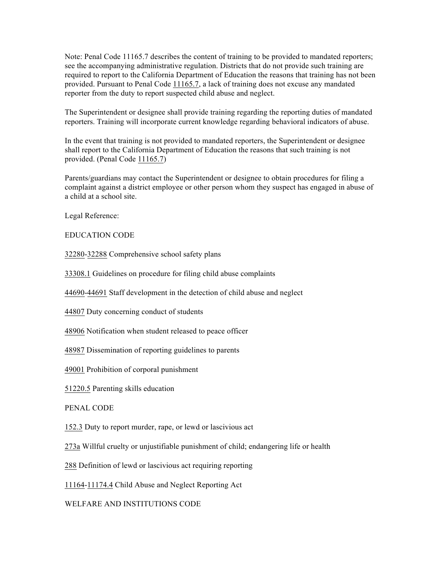Note: Penal Code 11165.7 describes the content of training to be provided to mandated reporters; see the accompanying administrative regulation. Districts that do not provide such training are required to report to the California Department of Education the reasons that training has not been provided. Pursuant to Penal Code 11165.7, a lack of training does not excuse any mandated reporter from the duty to report suspected child abuse and neglect.

The Superintendent or designee shall provide training regarding the reporting duties of mandated reporters. Training will incorporate current knowledge regarding behavioral indicators of abuse.

In the event that training is not provided to mandated reporters, the Superintendent or designee shall report to the California Department of Education the reasons that such training is not provided. (Penal Code 11165.7)

Parents/guardians may contact the Superintendent or designee to obtain procedures for filing a complaint against a district employee or other person whom they suspect has engaged in abuse of a child at a school site.

Legal Reference:

EDUCATION CODE

32280-32288 Comprehensive school safety plans

33308.1 Guidelines on procedure for filing child abuse complaints

44690-44691 Staff development in the detection of child abuse and neglect

44807 Duty concerning conduct of students

48906 Notification when student released to peace officer

48987 Dissemination of reporting guidelines to parents

49001 Prohibition of corporal punishment

51220.5 Parenting skills education

PENAL CODE

152.3 Duty to report murder, rape, or lewd or lascivious act

273a Willful cruelty or unjustifiable punishment of child; endangering life or health

288 Definition of lewd or lascivious act requiring reporting

11164-11174.4 Child Abuse and Neglect Reporting Act

WELFARE AND INSTITUTIONS CODE